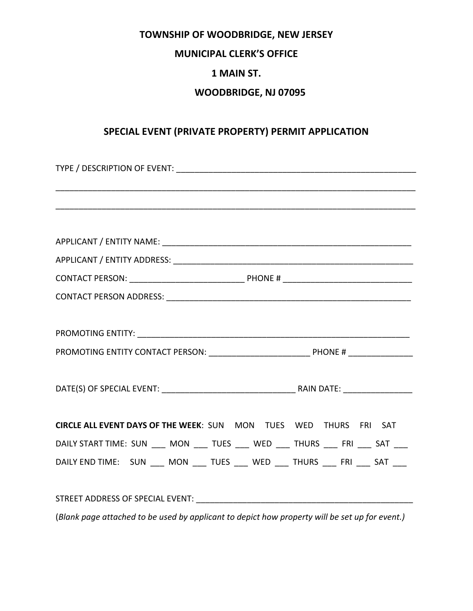## **TOWNSHIP OF WOODBRIDGE, NEW JERSEY**

#### **MUNICIPAL CLERK'S OFFICE**

# **1 MAIN ST.**

#### **WOODBRIDGE, NJ 07095**

## **SPECIAL EVENT (PRIVATE PROPERTY) PERMIT APPLICATION**

| CIRCLE ALL EVENT DAYS OF THE WEEK: SUN MON TUES WED THURS FRI SAT                              |  |  |  |  |
|------------------------------------------------------------------------------------------------|--|--|--|--|
| DAILY START TIME: SUN ___ MON ___ TUES ___ WED ___ THURS ___ FRI ___ SAT ___                   |  |  |  |  |
| DAILY END TIME: SUN MON TUES WED THURS FRI SAT                                                 |  |  |  |  |
|                                                                                                |  |  |  |  |
|                                                                                                |  |  |  |  |
| (Blank page attached to be used by applicant to depict how property will be set up for event.) |  |  |  |  |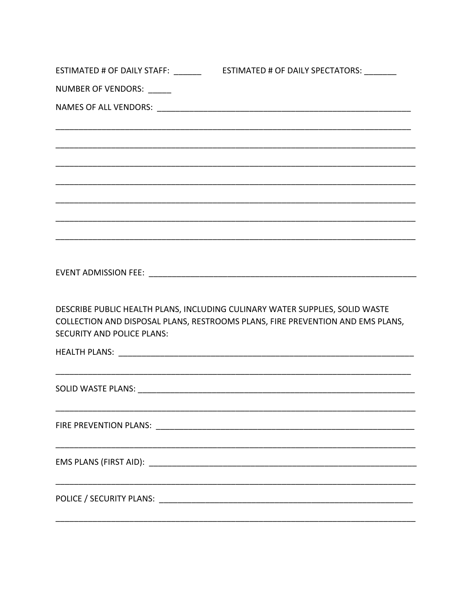| ESTIMATED # OF DAILY STAFF: ______ | ESTIMATED # OF DAILY SPECTATORS: _______                                                                                                                       |  |  |  |
|------------------------------------|----------------------------------------------------------------------------------------------------------------------------------------------------------------|--|--|--|
| NUMBER OF VENDORS: _____           |                                                                                                                                                                |  |  |  |
|                                    |                                                                                                                                                                |  |  |  |
|                                    |                                                                                                                                                                |  |  |  |
|                                    |                                                                                                                                                                |  |  |  |
|                                    |                                                                                                                                                                |  |  |  |
|                                    |                                                                                                                                                                |  |  |  |
|                                    |                                                                                                                                                                |  |  |  |
| <b>SECURITY AND POLICE PLANS:</b>  | DESCRIBE PUBLIC HEALTH PLANS, INCLUDING CULINARY WATER SUPPLIES, SOLID WASTE<br>COLLECTION AND DISPOSAL PLANS, RESTROOMS PLANS, FIRE PREVENTION AND EMS PLANS, |  |  |  |
|                                    |                                                                                                                                                                |  |  |  |
|                                    |                                                                                                                                                                |  |  |  |
|                                    |                                                                                                                                                                |  |  |  |
|                                    |                                                                                                                                                                |  |  |  |
|                                    |                                                                                                                                                                |  |  |  |
|                                    |                                                                                                                                                                |  |  |  |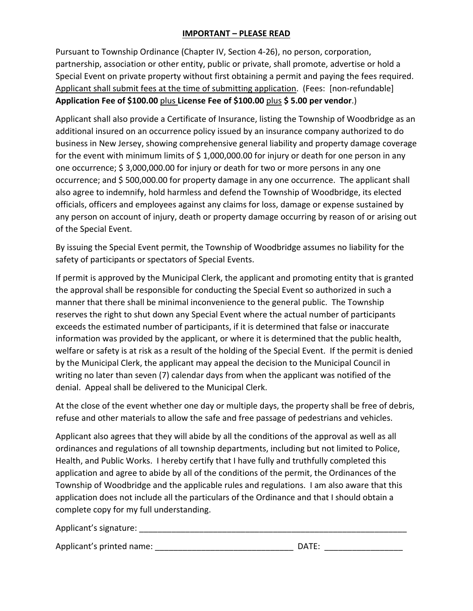### **IMPORTANT – PLEASE READ**

Pursuant to Township Ordinance (Chapter IV, Section 4-26), no person, corporation, partnership, association or other entity, public or private, shall promote, advertise or hold a Special Event on private property without first obtaining a permit and paying the fees required. Applicant shall submit fees at the time of submitting application. (Fees: [non-refundable] **Application Fee of \$100.00** plus **License Fee of \$100.00** plus **\$ 5.00 per vendor**.)

Applicant shall also provide a Certificate of Insurance, listing the Township of Woodbridge as an additional insured on an occurrence policy issued by an insurance company authorized to do business in New Jersey, showing comprehensive general liability and property damage coverage for the event with minimum limits of  $\frac{2}{3}$  1,000,000.00 for injury or death for one person in any one occurrence; \$ 3,000,000.00 for injury or death for two or more persons in any one occurrence; and \$ 500,000.00 for property damage in any one occurrence. The applicant shall also agree to indemnify, hold harmless and defend the Township of Woodbridge, its elected officials, officers and employees against any claims for loss, damage or expense sustained by any person on account of injury, death or property damage occurring by reason of or arising out of the Special Event.

By issuing the Special Event permit, the Township of Woodbridge assumes no liability for the safety of participants or spectators of Special Events.

If permit is approved by the Municipal Clerk, the applicant and promoting entity that is granted the approval shall be responsible for conducting the Special Event so authorized in such a manner that there shall be minimal inconvenience to the general public. The Township reserves the right to shut down any Special Event where the actual number of participants exceeds the estimated number of participants, if it is determined that false or inaccurate information was provided by the applicant, or where it is determined that the public health, welfare or safety is at risk as a result of the holding of the Special Event. If the permit is denied by the Municipal Clerk, the applicant may appeal the decision to the Municipal Council in writing no later than seven (7) calendar days from when the applicant was notified of the denial. Appeal shall be delivered to the Municipal Clerk.

At the close of the event whether one day or multiple days, the property shall be free of debris, refuse and other materials to allow the safe and free passage of pedestrians and vehicles.

Applicant also agrees that they will abide by all the conditions of the approval as well as all ordinances and regulations of all township departments, including but not limited to Police, Health, and Public Works. I hereby certify that I have fully and truthfully completed this application and agree to abide by all of the conditions of the permit, the Ordinances of the Township of Woodbridge and the applicable rules and regulations. I am also aware that this application does not include all the particulars of the Ordinance and that I should obtain a complete copy for my full understanding.

Applicant's signature: **Example 2018** 

Applicant's printed name: \_\_\_\_\_\_\_\_\_\_\_\_\_\_\_\_\_\_\_\_\_\_\_\_\_\_\_\_\_\_ DATE: \_\_\_\_\_\_\_\_\_\_\_\_\_\_\_\_\_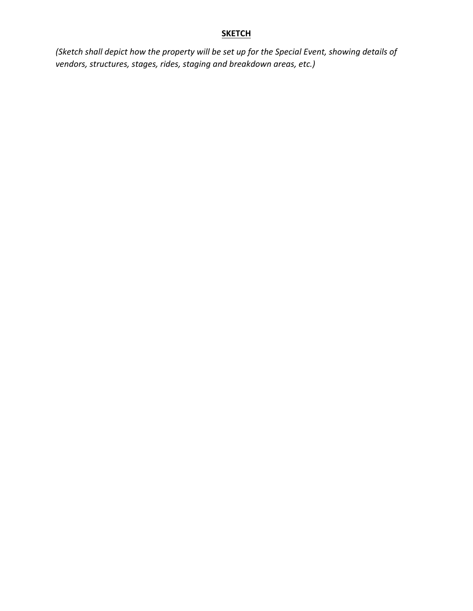# **SKETCH**

*(Sketch shall depict how the property will be set up for the Special Event, showing details of vendors, structures, stages, rides, staging and breakdown areas, etc.)*